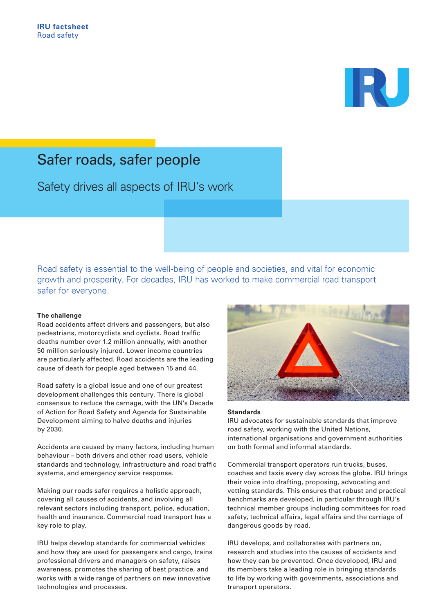

# Safer roads, safer people

Safety drives all aspects of IRU's work

Road safety is essential to the well-being of people and societies, and vital for economic growth and prosperity. For decades, IRU has worked to make commercial road transport safer for everyone.

### **The challenge**

Road accidents affect drivers and passengers, but also pedestrians, motorcyclists and cyclists. Road traffic deaths number over 1.2 million annually, with another 50 million seriously injured. Lower income countries are particularly affected. Road accidents are the leading cause of death for people aged between 15 and 44.

Road safety is a global issue and one of our greatest development challenges this century. There is global consensus to reduce the carnage, with the UN's Decade of Action for Road Safety and Agenda for Sustainable Development aiming to halve deaths and injuries by 2030.

Accidents are caused by many factors, including human behaviour – both drivers and other road users, vehicle standards and technology, infrastructure and road traffic systems, and emergency service response.

Making our roads safer requires a holistic approach, covering all causes of accidents, and involving all relevant sectors including transport, police, education, health and insurance. Commercial road transport has a key role to play.

IRU helps develop standards for commercial vehicles and how they are used for passengers and cargo, trains professional drivers and managers on safety, raises awareness, promotes the sharing of best practice, and works with a wide range of partners on new innovative technologies and processes.



#### **Standards**

IRU advocates for sustainable standards that improve road safety, working with the United Nations, international organisations and government authorities on both formal and informal standards.

Commercial transport operators run trucks, buses, coaches and taxis every day across the globe. IRU brings their voice into drafting, proposing, advocating and vetting standards. This ensures that robust and practical benchmarks are developed, in particular through IRU's technical member groups including committees for road safety, technical affairs, legal affairs and the carriage of dangerous goods by road.

IRU develops, and collaborates with partners on, research and studies into the causes of accidents and how they can be prevented. Once developed, IRU and its members take a leading role in bringing standards to life by working with governments, associations and transport operators.